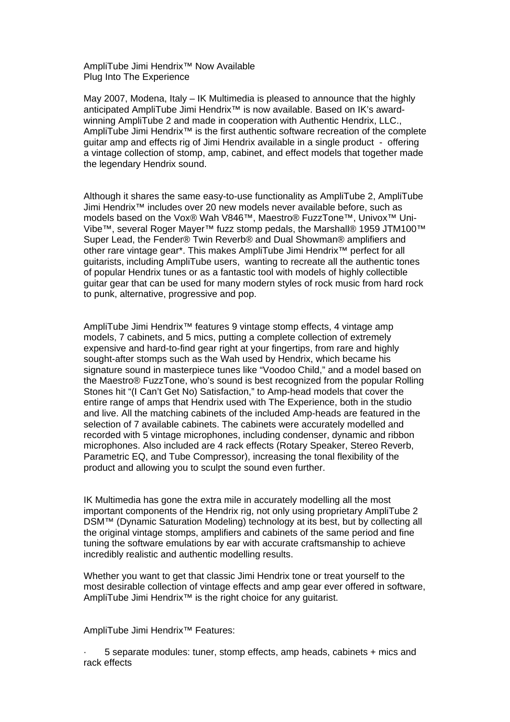AmpliTube Jimi Hendrix™ Now Available Plug Into The Experience

May 2007, Modena, Italy – IK Multimedia is pleased to announce that the highly anticipated AmpliTube Jimi Hendrix<sup>™</sup> is now available. Based on IK's awardwinning AmpliTube 2 and made in cooperation with Authentic Hendrix, LLC., AmpliTube Jimi Hendrix™ is the first authentic software recreation of the complete guitar amp and effects rig of Jimi Hendrix available in a single product - offering a vintage collection of stomp, amp, cabinet, and effect models that together made the legendary Hendrix sound.

Although it shares the same easy-to-use functionality as AmpliTube 2, AmpliTube Jimi Hendrix™ includes over 20 new models never available before, such as models based on the Vox® Wah V846™, Maestro® FuzzTone™, Univox™ Uni-Vibe™, several Roger Mayer™ fuzz stomp pedals, the Marshall® 1959 JTM100™ Super Lead, the Fender® Twin Reverb® and Dual Showman® amplifiers and other rare vintage gear\*. This makes AmpliTube Jimi Hendrix™ perfect for all guitarists, including AmpliTube users, wanting to recreate all the authentic tones of popular Hendrix tunes or as a fantastic tool with models of highly collectible guitar gear that can be used for many modern styles of rock music from hard rock to punk, alternative, progressive and pop.

AmpliTube Jimi Hendrix<sup>™</sup> features 9 vintage stomp effects, 4 vintage amp models, 7 cabinets, and 5 mics, putting a complete collection of extremely expensive and hard-to-find gear right at your fingertips, from rare and highly sought-after stomps such as the Wah used by Hendrix, which became his signature sound in masterpiece tunes like "Voodoo Child," and a model based on the Maestro® FuzzTone, who's sound is best recognized from the popular Rolling Stones hit "(I Can't Get No) Satisfaction," to Amp-head models that cover the entire range of amps that Hendrix used with The Experience, both in the studio and live. All the matching cabinets of the included Amp-heads are featured in the selection of 7 available cabinets. The cabinets were accurately modelled and recorded with 5 vintage microphones, including condenser, dynamic and ribbon microphones. Also included are 4 rack effects (Rotary Speaker, Stereo Reverb, Parametric EQ, and Tube Compressor), increasing the tonal flexibility of the product and allowing you to sculpt the sound even further.

IK Multimedia has gone the extra mile in accurately modelling all the most important components of the Hendrix rig, not only using proprietary AmpliTube 2 DSM™ (Dynamic Saturation Modeling) technology at its best, but by collecting all the original vintage stomps, amplifiers and cabinets of the same period and fine tuning the software emulations by ear with accurate craftsmanship to achieve incredibly realistic and authentic modelling results.

Whether you want to get that classic Jimi Hendrix tone or treat yourself to the most desirable collection of vintage effects and amp gear ever offered in software, AmpliTube Jimi Hendrix™ is the right choice for any guitarist.

AmpliTube Jimi Hendrix™ Features:

· 5 separate modules: tuner, stomp effects, amp heads, cabinets + mics and rack effects